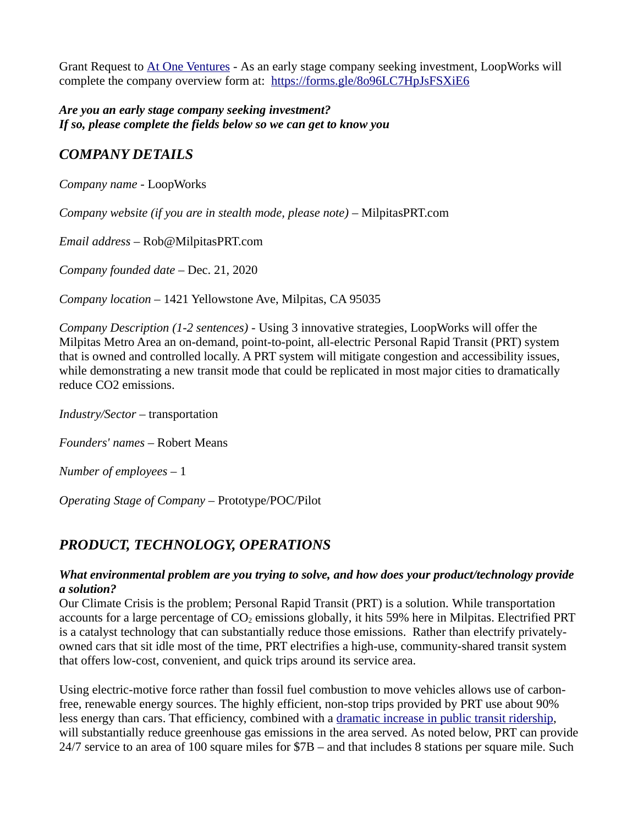Grant Request to [At One Ventures](https://www.atoneventures.com/) - As an early stage company seeking investment, LoopWorks will complete the company overview form at: <https://forms.gle/8o96LC7HpJsFSXiE6>

*Are you an early stage company seeking investment? If so, please complete the fields below so we can get to know you*

# *COMPANY DETAILS*

*Company name* - LoopWorks

*Company website (if you are in stealth mode, please note)* – MilpitasPRT.com

*Email address* – Rob@MilpitasPRT.com

*Company founded date* – Dec. 21, 2020

*Company location* – 1421 Yellowstone Ave, Milpitas, CA 95035

*Company Description (1-2 sentences) -* Using 3 innovative strategies, LoopWorks will offer the Milpitas Metro Area an on-demand, point-to-point, all-electric Personal Rapid Transit (PRT) system that is owned and controlled locally. A PRT system will mitigate congestion and accessibility issues, while demonstrating a new transit mode that could be replicated in most major cities to dramatically reduce CO2 emissions.

*Industry/Sector –* transportation

*Founders' names –* Robert Means

*Number of employees –* 1

*Operating Stage of Company –* Prototype/POC/Pilot

## *PRODUCT, TECHNOLOGY, OPERATIONS*

#### *What environmental problem are you trying to solve, and how does your product/technology provide a solution?*

Our Climate Crisis is the problem; Personal Rapid Transit (PRT) is a solution. While transportation accounts for a large percentage of  $CO<sub>2</sub>$  emissions globally, it hits 59% here in Milpitas. Electrified PRT is a catalyst technology that can substantially reduce those emissions. Rather than electrify privatelyowned cars that sit idle most of the time, PRT electrifies a high-use, community-shared transit system that offers low-cost, convenient, and quick trips around its service area.

Using electric-motive force rather than fossil fuel combustion to move vehicles allows use of carbonfree, renewable energy sources. The highly efficient, non-stop trips provided by PRT use about 90% less energy than cars. That efficiency, combined with a [dramatic increase in public transit ridership](https://milpitasprt.com/technology/cost/#ridership), will substantially reduce greenhouse gas emissions in the area served. As noted below, PRT can provide 24/7 service to an area of 100 square miles for \$7B – and that includes 8 stations per square mile. Such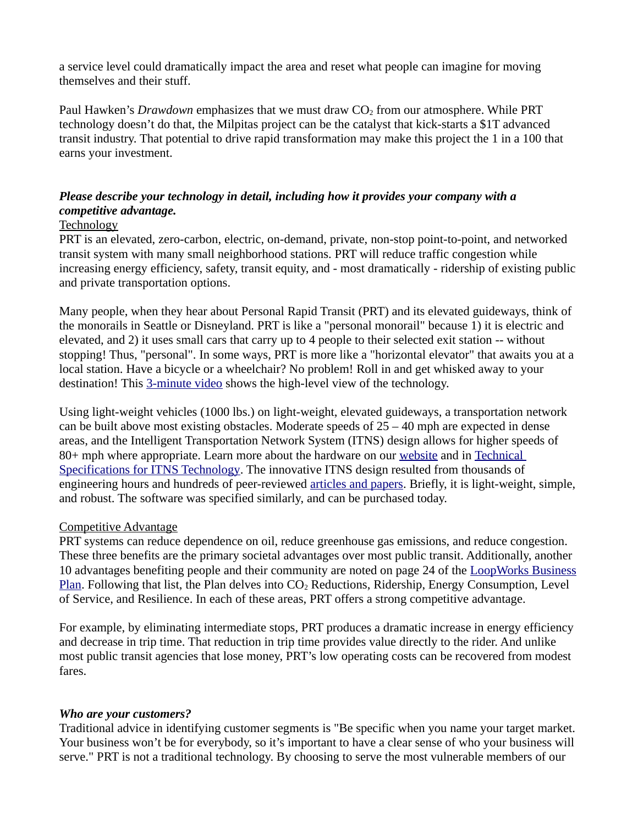a service level could dramatically impact the area and reset what people can imagine for moving themselves and their stuff.

Paul Hawken's *Drawdown* emphasizes that we must draw CO<sub>2</sub> from our atmosphere. While PRT technology doesn't do that, the Milpitas project can be the catalyst that kick-starts a \$1T advanced transit industry. That potential to drive rapid transformation may make this project the 1 in a 100 that earns your investment.

### *Please describe your technology in detail, including how it provides your company with a competitive advantage.*

#### Technology

PRT is an elevated, zero-carbon, electric, on-demand, private, non-stop point-to-point, and networked transit system with many small neighborhood stations. PRT will reduce traffic congestion while increasing energy efficiency, safety, transit equity, and - most dramatically - ridership of existing public and private transportation options.

Many people, when they hear about Personal Rapid Transit (PRT) and its elevated guideways, think of the monorails in Seattle or Disneyland. PRT is like a "personal monorail" because 1) it is electric and elevated, and 2) it uses small cars that carry up to 4 people to their selected exit station -- without stopping! Thus, "personal". In some ways, PRT is more like a "horizontal elevator" that awaits you at a local station. Have a bicycle or a wheelchair? No problem! Roll in and get whisked away to your destination! This [3-minute video](https://milpitasprt.com/wp-content/uploads/Microsoft-campus.wmv) shows the high-level view of the technology.

Using light-weight vehicles (1000 lbs.) on light-weight, elevated guideways, a transportation network can be built above most existing obstacles. Moderate speeds of  $25 - 40$  mph are expected in dense areas, and the Intelligent Transportation Network System (ITNS) design allows for higher speeds of 80+ mph where appropriate. Learn more about the hardware on our [website](https://milpitasprt.com/technology/hardware/) and in [Technical](https://milpitasprt.com/wp-content/uploads/technical-specifications.pdf)  [Specifications for ITNS Technology.](https://milpitasprt.com/wp-content/uploads/technical-specifications.pdf) The innovative ITNS design resulted from thousands of engineering hours and hundreds of peer-reviewed [articles and papers](http://www.advancedtransit.org/library/research-projects/). Briefly, it is light-weight, simple, and robust. The software was specified similarly, and can be purchased today.

#### Competitive Advantage

PRT systems can reduce dependence on oil, reduce greenhouse gas emissions, and reduce congestion. These three benefits are the primary societal advantages over most public transit. Additionally, another 10 advantages benefiting people and their community are noted on page 24 of the [LoopWorks Business](https://milpitasprt.com/wp-content/uploads/business-plan.pdf) [Plan](https://milpitasprt.com/wp-content/uploads/business-plan.pdf). Following that list, the Plan delves into  $CO<sub>2</sub>$  Reductions, Ridership, Energy Consumption, Level of Service, and Resilience. In each of these areas, PRT offers a strong competitive advantage.

For example, by eliminating intermediate stops, PRT produces a dramatic increase in energy efficiency and decrease in trip time. That reduction in trip time provides value directly to the rider. And unlike most public transit agencies that lose money, PRT's low operating costs can be recovered from modest fares.

#### *Who are your customers?*

Traditional advice in identifying customer segments is "Be specific when you name your target market. Your business won't be for everybody, so it's important to have a clear sense of who your business will serve." PRT is not a traditional technology. By choosing to serve the most vulnerable members of our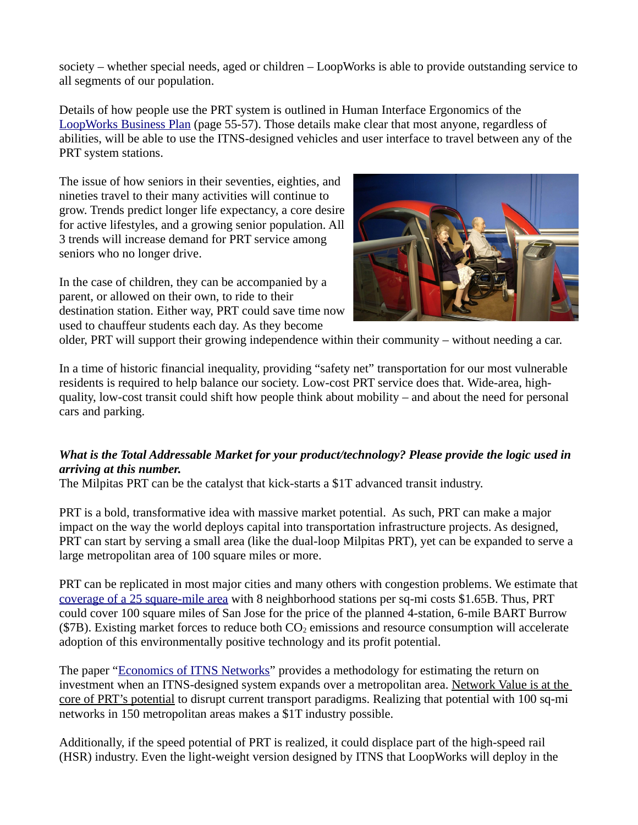society – whether special needs, aged or children – LoopWorks is able to provide outstanding service to all segments of our population.

Details of how people use the PRT system is outlined in Human Interface Ergonomics of the [LoopWorks Business Plan](https://milpitasprt.com/wp-content/uploads/business-plan.pdf) (page 55-57). Those details make clear that most anyone, regardless of abilities, will be able to use the ITNS-designed vehicles and user interface to travel between any of the PRT system stations.

The issue of how seniors in their seventies, eighties, and nineties travel to their many activities will continue to grow. Trends predict longer life expectancy, a core desire for active lifestyles, and a growing senior population. All 3 trends will increase demand for PRT service among seniors who no longer drive.

In the case of children, they can be accompanied by a parent, or allowed on their own, to ride to their destination station. Either way, PRT could save time now used to chauffeur students each day. As they become



older, PRT will support their growing independence within their community – without needing a car.

In a time of historic financial inequality, providing "safety net" transportation for our most vulnerable residents is required to help balance our society. Low-cost PRT service does that. Wide-area, highquality, low-cost transit could shift how people think about mobility – and about the need for personal cars and parking.

## *What is the Total Addressable Market for your product/technology? Please provide the logic used in arriving at this number.*

The Milpitas PRT can be the catalyst that kick-starts a \$1T advanced transit industry.

PRT is a bold, transformative idea with massive market potential. As such, PRT can make a major impact on the way the world deploys capital into transportation infrastructure projects. As designed, PRT can start by serving a small area (like the dual-loop Milpitas PRT), yet can be expanded to serve a large metropolitan area of 100 square miles or more.

PRT can be replicated in most major cities and many others with congestion problems. We estimate that [coverage of a 25 square-mile area](https://milpitasprt.com/wp-content/uploads/wide-area-PRT-coverage.pdf) with 8 neighborhood stations per sq-mi costs \$1.65B. Thus, PRT could cover 100 square miles of San Jose for the price of the planned 4-station, 6-mile BART Burrow ( $$7B$ ). Existing market forces to reduce both  $CO<sub>2</sub>$  emissions and resource consumption will accelerate adoption of this environmentally positive technology and its profit potential.

The paper ["Economics of ITNS Networks](http://www.advancedtransit.org/wp-content/uploads/2020/12/Anderson-Study-of-Economics-of-ITNS.docx)" provides a methodology for estimating the return on investment when an ITNS-designed system expands over a metropolitan area. Network Value is at the core of PRT's potential to disrupt current transport paradigms. Realizing that potential with 100 sq-mi networks in 150 metropolitan areas makes a \$1T industry possible.

Additionally, if the speed potential of PRT is realized, it could displace part of the high-speed rail (HSR) industry. Even the light-weight version designed by ITNS that LoopWorks will deploy in the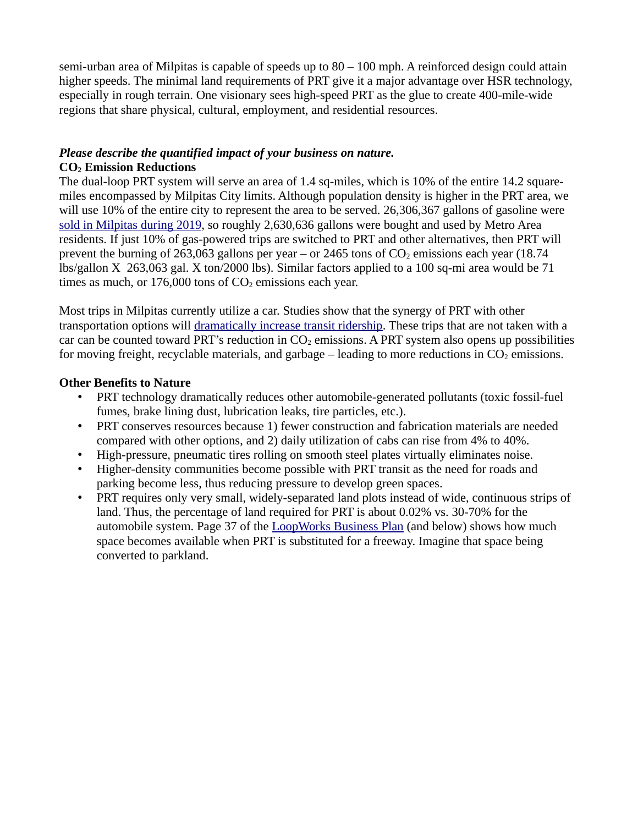semi-urban area of Milpitas is capable of speeds up to  $80 - 100$  mph. A reinforced design could attain higher speeds. The minimal land requirements of PRT give it a major advantage over HSR technology, especially in rough terrain. One visionary sees high-speed PRT as the glue to create 400-mile-wide regions that share physical, cultural, employment, and residential resources.

### *Please describe the quantified impact of your business on nature.*

#### **CO2 Emission Reductions**

The dual-loop PRT system will serve an area of 1.4 sq-miles, which is 10% of the entire 14.2 squaremiles encompassed by Milpitas City limits. Although population density is higher in the PRT area, we will use 10% of the entire city to represent the area to be served. 26,306,367 gallons of gasoline were  [sold in Milpitas during 2019](https://docs.google.com/spreadsheets/d/1pT65rTX0ORWDLiTcnLWSSAZQVhMXZAOH/edit#gid=1653840976), so roughly 2,630,636 gallons were bought and used by Metro Area residents. If just 10% of gas-powered trips are switched to PRT and other alternatives, then PRT will prevent the burning of 263,063 gallons per year – or 2465 tons of  $CO<sub>2</sub>$  emissions each year (18.74) lbs/gallon X 263,063 gal. X ton/2000 lbs). Similar factors applied to a 100 sq-mi area would be 71 times as much, or  $176,000$  tons of  $CO<sub>2</sub>$  emissions each year.

Most trips in Milpitas currently utilize a car. Studies show that the synergy of PRT with other transportation options will [dramatically increase transit ridership](https://milpitasprt.com/technology/service-levels/#ridership). These trips that are not taken with a car can be counted toward PRT's reduction in  $CO<sub>2</sub>$  emissions. A PRT system also opens up possibilities for moving freight, recyclable materials, and garbage  $-$  leading to more reductions in  $CO<sub>2</sub>$  emissions.

### **Other Benefits to Nature**

- PRT technology dramatically reduces other automobile-generated pollutants (toxic fossil-fuel fumes, brake lining dust, lubrication leaks, tire particles, etc.).
- PRT conserves resources because 1) fewer construction and fabrication materials are needed compared with other options, and 2) daily utilization of cabs can rise from 4% to 40%.
- High-pressure, pneumatic tires rolling on smooth steel plates virtually eliminates noise.
- Higher-density communities become possible with PRT transit as the need for roads and parking become less, thus reducing pressure to develop green spaces.
- PRT requires only very small, widely-separated land plots instead of wide, continuous strips of land. Thus, the percentage of land required for PRT is about 0.02% vs. 30-70% for the automobile system. Page 37 of the [LoopWorks Business Plan](https://milpitasprt.com/wp-content/uploads/business-plan.pdf) (and below) shows how much space becomes available when PRT is substituted for a freeway. Imagine that space being converted to parkland.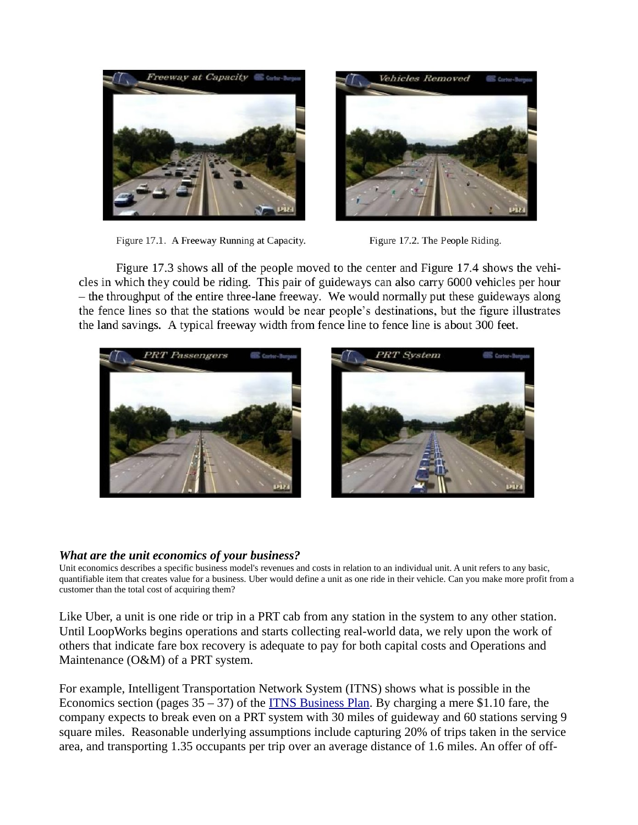

Figure 17.1. A Freeway Running at Capacity.



Figure 17.2. The People Riding.

Figure 17.3 shows all of the people moved to the center and Figure 17.4 shows the vehicles in which they could be riding. This pair of guideways can also carry 6000 vehicles per hour - the throughput of the entire three-lane freeway. We would normally put these guideways along the fence lines so that the stations would be near people's destinations, but the figure illustrates the land savings. A typical freeway width from fence line to fence line is about 300 feet.





#### *What are the unit economics of your business?*

Unit economics describes a specific business model's revenues and costs in relation to an individual unit. A unit refers to any basic, quantifiable item that creates value for a business. Uber would define a unit as one ride in their vehicle. Can you make more profit from a customer than the total cost of acquiring them?

Like Uber, a unit is one ride or trip in a PRT cab from any station in the system to any other station. Until LoopWorks begins operations and starts collecting real-world data, we rely upon the work of others that indicate fare box recovery is adequate to pay for both capital costs and Operations and Maintenance (O&M) of a PRT system.

For example, Intelligent Transportation Network System (ITNS) shows what is possible in the Economics section (pages  $35 - 37$ ) of the **ITNS Business Plan.** By charging a mere \$1.10 fare, the company expects to break even on a PRT system with 30 miles of guideway and 60 stations serving 9 square miles. Reasonable underlying assumptions include capturing 20% of trips taken in the service area, and transporting 1.35 occupants per trip over an average distance of 1.6 miles. An offer of off-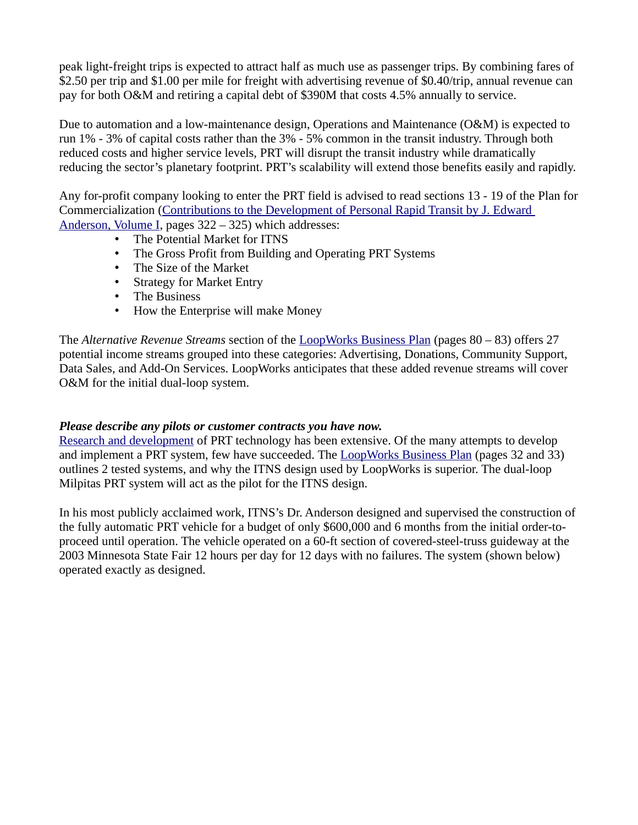peak light-freight trips is expected to attract half as much use as passenger trips. By combining fares of \$2.50 per trip and \$1.00 per mile for freight with advertising revenue of \$0.40/trip, annual revenue can pay for both O&M and retiring a capital debt of \$390M that costs 4.5% annually to service.

Due to automation and a low-maintenance design, Operations and Maintenance (O&M) is expected to run 1% - 3% of capital costs rather than the 3% - 5% common in the transit industry. Through both reduced costs and higher service levels, PRT will disrupt the transit industry while dramatically reducing the sector's planetary footprint. PRT's scalability will extend those benefits easily and rapidly.

Any for-profit company looking to enter the PRT field is advised to read sections 13 - 19 of the Plan for Commercialization (Contributions to the Development of Personal Rapid Transit by J. Edward  [Anderson, Volume I](http://www.advancedtransit.org/wp-content/uploads/2016/02/Anderson-JE-Contributions-to-the-Development-of-PRT-I.pdf), pages 322 – 325) which addresses:

- The Potential Market for ITNS
- The Gross Profit from Building and Operating PRT Systems
- The Size of the Market
- Strategy for Market Entry
- The Business
- How the Enterprise will make Money

The *Alternative Revenue Streams* section of the [LoopWorks Business Plan](https://milpitasprt.com/wp-content/uploads/business-plan.pdf) (pages 80 – 83) offers 27 potential income streams grouped into these categories: Advertising, Donations, Community Support, Data Sales, and Add-On Services. LoopWorks anticipates that these added revenue streams will cover O&M for the initial dual-loop system.

#### *Please describe any pilots or customer contracts you have now.*

Research and development of PRT technology has been extensive. Of the many attempts to develop and implement a PRT system, few have succeeded. The **[LoopWorks Business Plan](https://milpitasprt.com/wp-content/uploads/business-plan.pdf)** (pages 32 and 33) outlines 2 tested systems, and why the ITNS design used by LoopWorks is superior. The dual-loop Milpitas PRT system will act as the pilot for the ITNS design.

In his most publicly acclaimed work, ITNS's Dr. Anderson designed and supervised the construction of the fully automatic PRT vehicle for a budget of only \$600,000 and 6 months from the initial order-toproceed until operation. The vehicle operated on a 60-ft section of covered-steel-truss guideway at the 2003 Minnesota State Fair 12 hours per day for 12 days with no failures. The system (shown below) operated exactly as designed.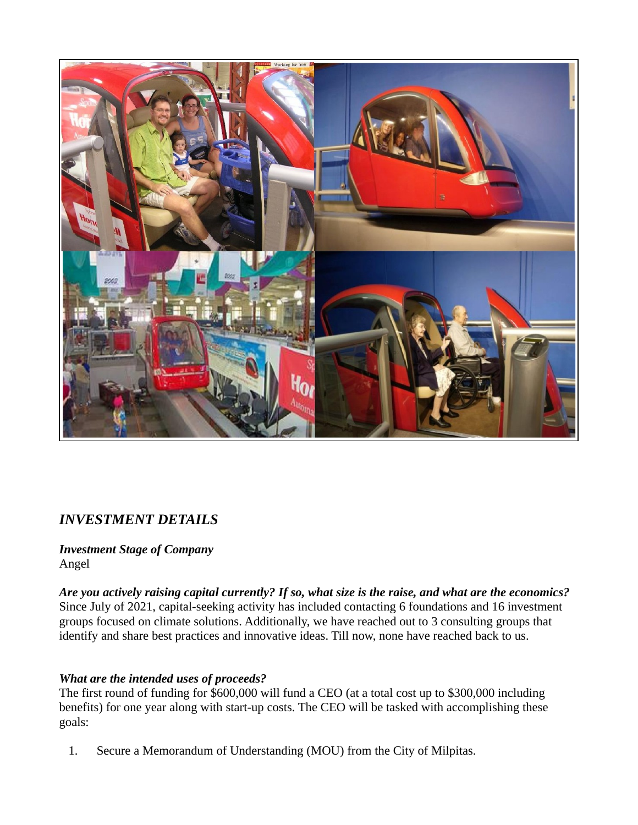

## *INVESTMENT DETAILS*

*Investment Stage of Company* Angel

*Are you actively raising capital currently? If so, what size is the raise, and what are the economics?* Since July of 2021, capital-seeking activity has included contacting 6 foundations and 16 investment groups focused on climate solutions. Additionally, we have reached out to 3 consulting groups that identify and share best practices and innovative ideas. Till now, none have reached back to us.

### *What are the intended uses of proceeds?*

The first round of funding for \$600,000 will fund a CEO (at a total cost up to \$300,000 including benefits) for one year along with start-up costs. The CEO will be tasked with accomplishing these goals:

1. Secure a Memorandum of Understanding (MOU) from the City of Milpitas.